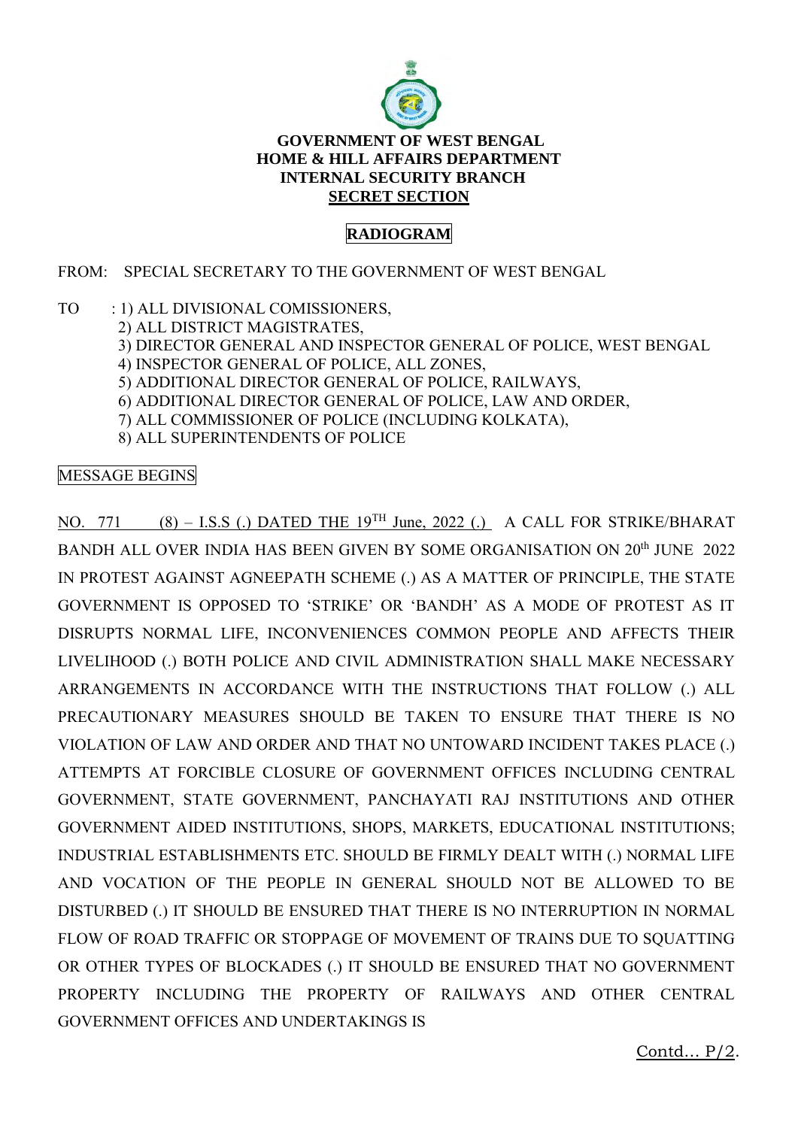

## **GOVERNMENT OF WEST BENGAL HOME & HILL AFFAIRS DEPARTMENT INTERNAL SECURITY BRANCH SECRET SECTION**

## **RADIOGRAM**

## FROM: SPECIAL SECRETARY TO THE GOVERNMENT OF WEST BENGAL

- TO : 1) ALL DIVISIONAL COMISSIONERS,
	- 2) ALL DISTRICT MAGISTRATES,
	- 3) DIRECTOR GENERAL AND INSPECTOR GENERAL OF POLICE, WEST BENGAL
	- 4) INSPECTOR GENERAL OF POLICE, ALL ZONES,
	- 5) ADDITIONAL DIRECTOR GENERAL OF POLICE, RAILWAYS,
	- 6) ADDITIONAL DIRECTOR GENERAL OF POLICE, LAW AND ORDER,
	- 7) ALL COMMISSIONER OF POLICE (INCLUDING KOLKATA),
	- 8) ALL SUPERINTENDENTS OF POLICE

## MESSAGE BEGINS

NO. 771 (8) – I.S.S (.) DATED THE  $19^{TH}$  June, 2022 (.) A CALL FOR STRIKE/BHARAT BANDH ALL OVER INDIA HAS BEEN GIVEN BY SOME ORGANISATION ON 20<sup>th</sup> JUNE 2022 IN PROTEST AGAINST AGNEEPATH SCHEME (.) AS A MATTER OF PRINCIPLE, THE STATE GOVERNMENT IS OPPOSED TO 'STRIKE' OR 'BANDH' AS A MODE OF PROTEST AS IT DISRUPTS NORMAL LIFE, INCONVENIENCES COMMON PEOPLE AND AFFECTS THEIR LIVELIHOOD (.) BOTH POLICE AND CIVIL ADMINISTRATION SHALL MAKE NECESSARY ARRANGEMENTS IN ACCORDANCE WITH THE INSTRUCTIONS THAT FOLLOW (.) ALL PRECAUTIONARY MEASURES SHOULD BE TAKEN TO ENSURE THAT THERE IS NO VIOLATION OF LAW AND ORDER AND THAT NO UNTOWARD INCIDENT TAKES PLACE (.) ATTEMPTS AT FORCIBLE CLOSURE OF GOVERNMENT OFFICES INCLUDING CENTRAL GOVERNMENT, STATE GOVERNMENT, PANCHAYATI RAJ INSTITUTIONS AND OTHER GOVERNMENT AIDED INSTITUTIONS, SHOPS, MARKETS, EDUCATIONAL INSTITUTIONS; INDUSTRIAL ESTABLISHMENTS ETC. SHOULD BE FIRMLY DEALT WITH (.) NORMAL LIFE AND VOCATION OF THE PEOPLE IN GENERAL SHOULD NOT BE ALLOWED TO BE DISTURBED (.) IT SHOULD BE ENSURED THAT THERE IS NO INTERRUPTION IN NORMAL FLOW OF ROAD TRAFFIC OR STOPPAGE OF MOVEMENT OF TRAINS DUE TO SQUATTING OR OTHER TYPES OF BLOCKADES (.) IT SHOULD BE ENSURED THAT NO GOVERNMENT PROPERTY INCLUDING THE PROPERTY OF RAILWAYS AND OTHER CENTRAL GOVERNMENT OFFICES AND UNDERTAKINGS IS

Contd… P/2.